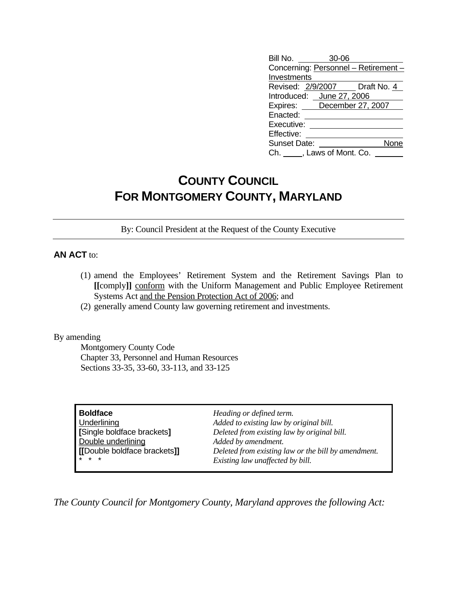| Bill No.            | 30-06                     |                                      |
|---------------------|---------------------------|--------------------------------------|
|                     |                           | Concerning: Personnel - Retirement - |
| Investments         |                           |                                      |
|                     |                           | Revised: 2/9/2007   Draft No. 4      |
|                     | Introduced: June 27, 2006 |                                      |
|                     |                           | Expires: December 27, 2007           |
| Enacted:            |                           |                                      |
| Executive:          |                           |                                      |
| Effective:          |                           |                                      |
| <b>Sunset Date:</b> |                           | None                                 |
| Ch. I               | , Laws of Mont. Co.       |                                      |

## **COUNTY COUNCIL FOR MONTGOMERY COUNTY, MARYLAND**

By: Council President at the Request of the County Executive

## **AN ACT** to:

- (1) amend the Employees' Retirement System and the Retirement Savings Plan to **[[**comply**]]** conform with the Uniform Management and Public Employee Retirement Systems Act and the Pension Protection Act of 2006; and
- (2) generally amend County law governing retirement and investments.

By amending

 Montgomery County Code Chapter 33, Personnel and Human Resources Sections 33-35, 33-60, 33-113, and 33-125

| <b>Boldface</b>              |
|------------------------------|
| Underlining                  |
| [Single boldface brackets]   |
| Double underlining           |
| [[Double boldface brackets]] |
|                              |

**Heading or defined term.** Added to existing law by original bill. **[**Single boldface brackets**]** *Deleted from existing law by original bill.* Added by amendment. **[[**Double boldface brackets**]]** *Deleted from existing law or the bill by amendment.*  $Existing$  law unaffected by bill.

*The County Council for Montgomery County, Maryland approves the following Act:*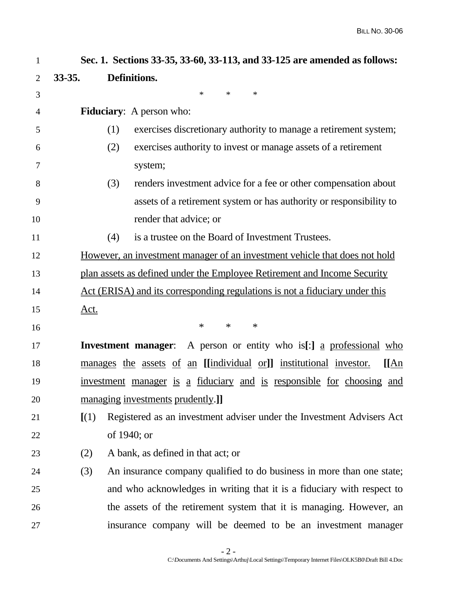| 1              |             | Sec. 1. Sections 33-35, 33-60, 33-113, and 33-125 are amended as follows:                      |  |  |  |  |  |  |
|----------------|-------------|------------------------------------------------------------------------------------------------|--|--|--|--|--|--|
| $\overline{2}$ | $33 - 35.$  | Definitions.                                                                                   |  |  |  |  |  |  |
| 3              |             | $\ast$<br>$\ast$<br>$\ast$                                                                     |  |  |  |  |  |  |
| 4              |             | <b>Fiduciary:</b> A person who:                                                                |  |  |  |  |  |  |
| 5              |             | (1)<br>exercises discretionary authority to manage a retirement system;                        |  |  |  |  |  |  |
| 6              |             | (2)<br>exercises authority to invest or manage assets of a retirement                          |  |  |  |  |  |  |
| 7              |             | system;                                                                                        |  |  |  |  |  |  |
| 8              |             | (3)<br>renders investment advice for a fee or other compensation about                         |  |  |  |  |  |  |
| 9              |             | assets of a retirement system or has authority or responsibility to                            |  |  |  |  |  |  |
| 10             |             | render that advice; or                                                                         |  |  |  |  |  |  |
| 11             |             | is a trustee on the Board of Investment Trustees.<br>(4)                                       |  |  |  |  |  |  |
| 12             |             | However, an investment manager of an investment vehicle that does not hold                     |  |  |  |  |  |  |
| 13             |             | plan assets as defined under the Employee Retirement and Income Security                       |  |  |  |  |  |  |
| 14             |             | Act (ERISA) and its corresponding regulations is not a fiduciary under this                    |  |  |  |  |  |  |
| 15             | <u>Act.</u> |                                                                                                |  |  |  |  |  |  |
| 16             |             | $\ast$<br>$\ast$<br>$\ast$                                                                     |  |  |  |  |  |  |
| 17             |             | <b>Investment manager</b> : A person or entity who is[:] <u>a professional who</u>             |  |  |  |  |  |  |
| 18             |             | manages the assets of an [[individual or]] institutional investor.<br>$\overline{\text{I}}$ An |  |  |  |  |  |  |
| 19             |             | investment manager is a fiduciary and is responsible for choosing and                          |  |  |  |  |  |  |
| 20             |             | managing investments prudently.]                                                               |  |  |  |  |  |  |
| 21             | [(1)]       | Registered as an investment adviser under the Investment Advisers Act                          |  |  |  |  |  |  |
| 22             |             | of 1940; or                                                                                    |  |  |  |  |  |  |
| 23             | (2)         | A bank, as defined in that act; or                                                             |  |  |  |  |  |  |
| 24             | (3)         | An insurance company qualified to do business in more than one state;                          |  |  |  |  |  |  |
| 25             |             | and who acknowledges in writing that it is a fiduciary with respect to                         |  |  |  |  |  |  |
| 26             |             | the assets of the retirement system that it is managing. However, an                           |  |  |  |  |  |  |
| 27             |             | insurance company will be deemed to be an investment manager                                   |  |  |  |  |  |  |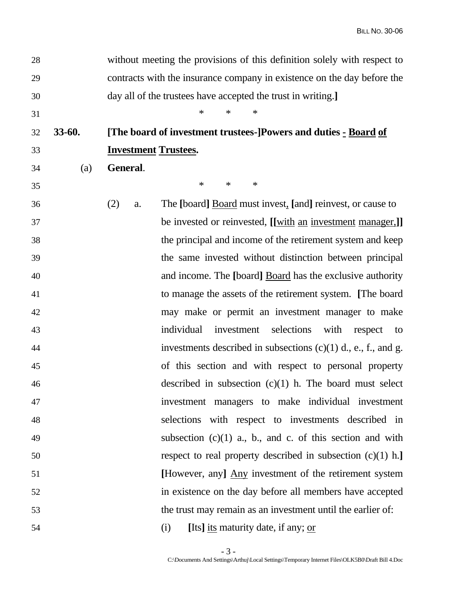| 28 |        |                             | without meeting the provisions of this definition solely with respect to |
|----|--------|-----------------------------|--------------------------------------------------------------------------|
| 29 |        |                             | contracts with the insurance company in existence on the day before the  |
| 30 |        |                             | day all of the trustees have accepted the trust in writing.]             |
| 31 |        |                             | $\ast$<br>$\ast$<br>∗                                                    |
| 32 | 33-60. |                             | [The board of investment trustees-]Powers and duties - Board of          |
| 33 |        | <b>Investment Trustees.</b> |                                                                          |
| 34 | (a)    | General.                    |                                                                          |
| 35 |        |                             | $\ast$<br>$\ast$<br>$\ast$                                               |
| 36 |        | (2)<br>a.                   | The [board] <b>Board</b> must invest, [and] reinvest, or cause to        |
| 37 |        |                             | be invested or reinvested, [[with an investment manager,]]               |
| 38 |        |                             | the principal and income of the retirement system and keep               |
| 39 |        |                             | the same invested without distinction between principal                  |
| 40 |        |                             | and income. The [board] <b>Board</b> has the exclusive authority         |
| 41 |        |                             | to manage the assets of the retirement system. [The board                |
| 42 |        |                             | may make or permit an investment manager to make                         |
| 43 |        |                             | selections<br>individual<br>investment<br>with<br>respect<br>to          |
| 44 |        |                             | investments described in subsections $(c)(1)$ d., e., f., and g.         |
| 45 |        |                             | of this section and with respect to personal property                    |
| 46 |        |                             | described in subsection $(c)(1)$ h. The board must select                |
| 47 |        |                             | investment managers to make individual investment                        |
| 48 |        |                             | selections with respect to investments described in                      |
| 49 |        |                             | subsection $(c)(1)$ a., b., and c. of this section and with              |
| 50 |        |                             | respect to real property described in subsection $(c)(1)$ h.]            |
| 51 |        |                             | [However, any] Any investment of the retirement system                   |
| 52 |        |                             | in existence on the day before all members have accepted                 |
| 53 |        |                             | the trust may remain as an investment until the earlier of:              |
| 54 |        |                             | [Its] its maturity date, if any; or<br>(i)                               |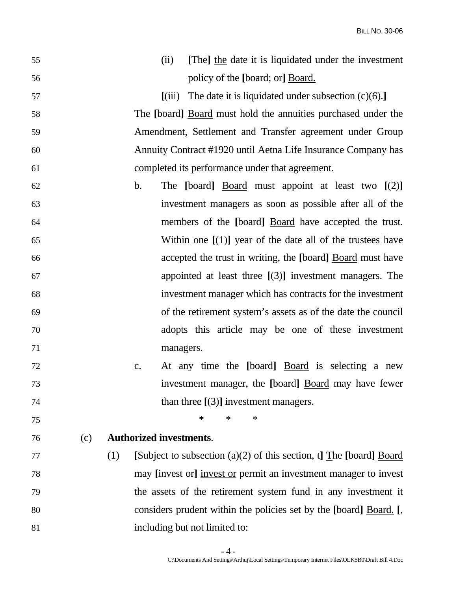| 55 |     |     |                | [The] the date it is liquidated under the investment<br>(ii)         |
|----|-----|-----|----------------|----------------------------------------------------------------------|
| 56 |     |     |                | policy of the [board; or] Board.                                     |
| 57 |     |     |                | The date it is liquidated under subsection $(c)(6)$ .]<br>(iii)      |
| 58 |     |     |                | The [board] <b>Board</b> must hold the annuities purchased under the |
| 59 |     |     |                | Amendment, Settlement and Transfer agreement under Group             |
| 60 |     |     |                | Annuity Contract #1920 until Aetna Life Insurance Company has        |
| 61 |     |     |                | completed its performance under that agreement.                      |
| 62 |     |     | $\mathbf{b}$ . | The [board] $Board$ must appoint at least two $[(2)]$                |
| 63 |     |     |                | investment managers as soon as possible after all of the             |
| 64 |     |     |                | members of the [board] <u>Board</u> have accepted the trust.         |
| 65 |     |     |                | Within one $[(1)]$ year of the date all of the trustees have         |
| 66 |     |     |                | accepted the trust in writing, the [board] Board must have           |
| 67 |     |     |                | appointed at least three $[(3)]$ investment managers. The            |
| 68 |     |     |                | investment manager which has contracts for the investment            |
| 69 |     |     |                | of the retirement system's assets as of the date the council         |
| 70 |     |     |                | adopts this article may be one of these investment                   |
| 71 |     |     |                | managers.                                                            |
| 72 |     |     | c.             | At any time the [board] <b>Board</b> is selecting a new              |
| 73 |     |     |                | investment manager, the [board] Board may have fewer                 |
| 74 |     |     |                | than three $[(3)]$ investment managers.                              |
| 75 |     |     |                | $\ast$<br>$\ast$<br>$\ast$                                           |
| 76 | (c) |     |                | <b>Authorized investments.</b>                                       |
| 77 |     | (1) |                | [Subject to subsection (a)(2) of this section, t] The [board] Board  |
| 78 |     |     |                | may [invest or] invest or permit an investment manager to invest     |
| 79 |     |     |                | the assets of the retirement system fund in any investment it        |
| 80 |     |     |                | considers prudent within the policies set by the [board] Board. [,   |
| 81 |     |     |                | including but not limited to:                                        |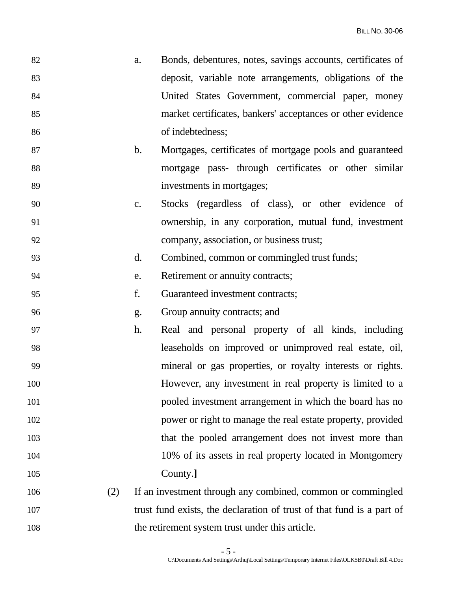| 82 | a. | Bonds, debentures, notes, savings accounts, certificates of |
|----|----|-------------------------------------------------------------|
| 83 |    | deposit, variable note arrangements, obligations of the     |
| 84 |    | United States Government, commercial paper, money           |
| 85 |    | market certificates, bankers' acceptances or other evidence |
| 86 |    | of indebtedness;                                            |

- 87 b. Mortgages, certificates of mortgage pools and guaranteed 88 mortgage pass- through certificates or other similar 89 investments in mortgages;
- 90 c. Stocks (regardless of class), or other evidence of 91 ownership, in any corporation, mutual fund, investment 92 company, association, or business trust;
- 93 d. Combined, common or commingled trust funds;
- 94 e. Retirement or annuity contracts;
- 95 f. Guaranteed investment contracts;
- 96 g. Group annuity contracts; and
- 97 h. Real and personal property of all kinds, including 98 leaseholds on improved or unimproved real estate, oil, 99 mineral or gas properties, or royalty interests or rights. 100 However, any investment in real property is limited to a 101 pooled investment arrangement in which the board has no 102 power or right to manage the real estate property, provided 103 that the pooled arrangement does not invest more than 104 10% of its assets in real property located in Montgomery 105 County.**]**
- 106 (2) If an investment through any combined, common or commingled 107 trust fund exists, the declaration of trust of that fund is a part of 108 the retirement system trust under this article.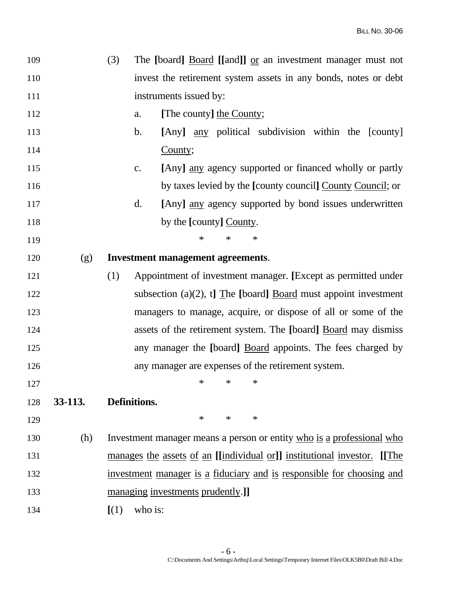| 109 |         | (3)   |                        |                                          |        |                          |        | The [board] Board [[and]] or an investment manager must not           |  |             |
|-----|---------|-------|------------------------|------------------------------------------|--------|--------------------------|--------|-----------------------------------------------------------------------|--|-------------|
| 110 |         |       |                        |                                          |        |                          |        | invest the retirement system assets in any bonds, notes or debt       |  |             |
| 111 |         |       | instruments issued by: |                                          |        |                          |        |                                                                       |  |             |
| 112 |         |       | a.                     |                                          |        | [The county] the County; |        |                                                                       |  |             |
| 113 |         |       | $\mathbf{b}$ .         |                                          |        |                          |        | [Any] <u>any</u> political subdivision within the [county]            |  |             |
| 114 |         |       |                        | County;                                  |        |                          |        |                                                                       |  |             |
| 115 |         |       | c.                     |                                          |        |                          |        | [Any] <u>any</u> agency supported or financed wholly or partly        |  |             |
| 116 |         |       |                        |                                          |        |                          |        | by taxes levied by the [county council] County Council; or            |  |             |
| 117 |         |       | d.                     |                                          |        |                          |        | [Any] <u>any</u> agency supported by bond issues underwritten         |  |             |
| 118 |         |       |                        |                                          |        | by the [county] County.  |        |                                                                       |  |             |
| 119 |         |       |                        |                                          | $\ast$ | $\ast$                   | $\ast$ |                                                                       |  |             |
| 120 | (g)     |       |                        | <b>Investment management agreements.</b> |        |                          |        |                                                                       |  |             |
| 121 |         | (1)   |                        |                                          |        |                          |        | Appointment of investment manager. [Except as permitted under         |  |             |
| 122 |         |       |                        |                                          |        |                          |        | subsection (a)(2), t] The [board] Board must appoint investment       |  |             |
| 123 |         |       |                        |                                          |        |                          |        | managers to manage, acquire, or dispose of all or some of the         |  |             |
| 124 |         |       |                        |                                          |        |                          |        | assets of the retirement system. The [board] Board may dismiss        |  |             |
| 125 |         |       |                        |                                          |        |                          |        | any manager the [board] Board appoints. The fees charged by           |  |             |
| 126 |         |       |                        |                                          |        |                          |        | any manager are expenses of the retirement system.                    |  |             |
| 127 |         |       |                        |                                          | ∗      | $\ast$                   | $\ast$ |                                                                       |  |             |
| 128 | 33-113. |       | Definitions.           |                                          |        |                          |        |                                                                       |  |             |
| 129 |         |       |                        |                                          | $\ast$ | $\ast$                   | $\ast$ |                                                                       |  |             |
| 130 | (h)     |       |                        |                                          |        |                          |        | Investment manager means a person or entity who is a professional who |  |             |
| 131 |         |       |                        |                                          |        |                          |        | manages the assets of an [[individual or]] institutional investor.    |  | <b>IThe</b> |
| 132 |         |       |                        |                                          |        |                          |        | investment manager is a fiduciary and is responsible for choosing and |  |             |
| 133 |         |       |                        | managing investments prudently.]         |        |                          |        |                                                                       |  |             |
| 134 |         | [(1)] | who is:                |                                          |        |                          |        |                                                                       |  |             |
|     |         |       |                        |                                          |        |                          |        |                                                                       |  |             |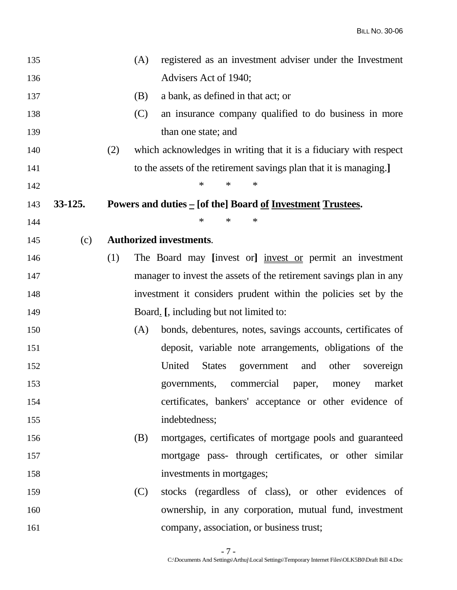| 135 |           |     | (A) | registered as an investment adviser under the Investment             |
|-----|-----------|-----|-----|----------------------------------------------------------------------|
| 136 |           |     |     | Advisers Act of 1940;                                                |
| 137 |           |     | (B) | a bank, as defined in that act; or                                   |
| 138 |           |     | (C) | an insurance company qualified to do business in more                |
| 139 |           |     |     | than one state; and                                                  |
| 140 |           | (2) |     | which acknowledges in writing that it is a fiduciary with respect    |
| 141 |           |     |     | to the assets of the retirement savings plan that it is managing.    |
| 142 |           |     |     | $\ast$<br>$\ast$<br>$\ast$                                           |
| 143 | $33-125.$ |     |     | Powers and duties $=$ [of the] Board <u>of Investment Trustees</u> . |
| 144 |           |     |     | $\ast$<br>$\ast$<br>$\ast$                                           |
| 145 | (c)       |     |     | <b>Authorized investments.</b>                                       |
| 146 |           | (1) |     | The Board may [invest or] <u>invest or</u> permit an investment      |
| 147 |           |     |     | manager to invest the assets of the retirement savings plan in any   |
| 148 |           |     |     | investment it considers prudent within the policies set by the       |
| 149 |           |     |     | Board. [, including but not limited to:                              |
| 150 |           |     | (A) | bonds, debentures, notes, savings accounts, certificates of          |
| 151 |           |     |     | deposit, variable note arrangements, obligations of the              |
| 152 |           |     |     | United<br>other<br><b>States</b><br>government<br>and<br>sovereign   |
| 153 |           |     |     | market<br>commercial<br>governments,<br>money<br>paper,              |
| 154 |           |     |     | certificates, bankers' acceptance or other evidence of               |
| 155 |           |     |     | indebtedness;                                                        |
| 156 |           |     | (B) | mortgages, certificates of mortgage pools and guaranteed             |
| 157 |           |     |     | mortgage pass- through certificates, or other similar                |
| 158 |           |     |     | investments in mortgages;                                            |
| 159 |           |     | (C) | stocks (regardless of class), or other evidences of                  |
| 160 |           |     |     | ownership, in any corporation, mutual fund, investment               |
| 161 |           |     |     | company, association, or business trust;                             |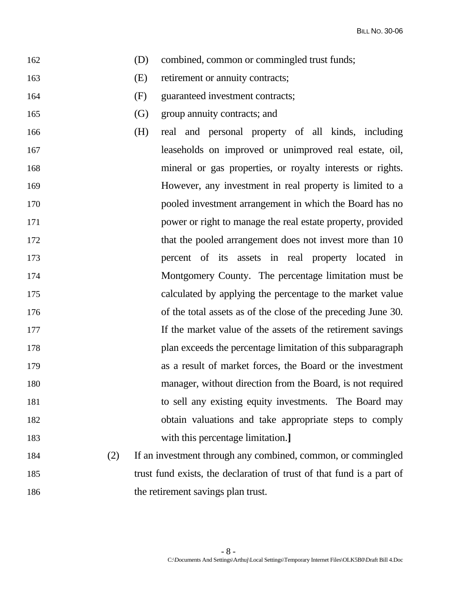- 162 (D) combined, common or commingled trust funds;
- 163 (E) retirement or annuity contracts;
- 164 (F) guaranteed investment contracts;
- 165 (G) group annuity contracts; and
- 166 (H) real and personal property of all kinds, including 167 leaseholds on improved or unimproved real estate, oil, 168 mineral or gas properties, or royalty interests or rights. 169 However, any investment in real property is limited to a 170 pooled investment arrangement in which the Board has no 171 power or right to manage the real estate property, provided 172 that the pooled arrangement does not invest more than 10 173 percent of its assets in real property located in 174 Montgomery County. The percentage limitation must be 175 calculated by applying the percentage to the market value 176 of the total assets as of the close of the preceding June 30. 177 If the market value of the assets of the retirement savings 178 plan exceeds the percentage limitation of this subparagraph 179 as a result of market forces, the Board or the investment 180 manager, without direction from the Board, is not required 181 to sell any existing equity investments. The Board may 182 obtain valuations and take appropriate steps to comply 183 with this percentage limitation.**]**
- 184 (2) If an investment through any combined, common, or commingled 185 trust fund exists, the declaration of trust of that fund is a part of 186 the retirement savings plan trust.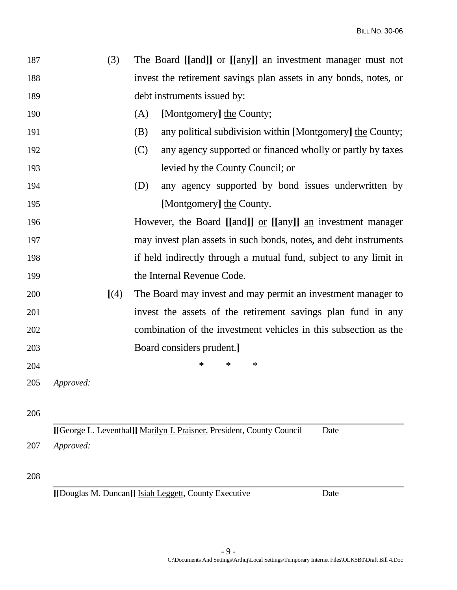| 187 |           | (3)                  |     | The Board [[and]] $or$ [[any]] $an$ investment manager must not   |
|-----|-----------|----------------------|-----|-------------------------------------------------------------------|
| 188 |           |                      |     | invest the retirement savings plan assets in any bonds, notes, or |
| 189 |           |                      |     | debt instruments issued by:                                       |
| 190 |           |                      | (A) | [Montgomery] the County;                                          |
| 191 |           |                      | (B) | any political subdivision within [Montgomery] the County;         |
| 192 |           |                      | (C) | any agency supported or financed wholly or partly by taxes        |
| 193 |           |                      |     | levied by the County Council; or                                  |
| 194 |           |                      | (D) | any agency supported by bond issues underwritten by               |
| 195 |           |                      |     | [Montgomery] the County.                                          |
| 196 |           |                      |     | However, the Board [[and]] $or$ [[any]] $an$ investment manager   |
| 197 |           |                      |     | may invest plan assets in such bonds, notes, and debt instruments |
| 198 |           |                      |     | if held indirectly through a mutual fund, subject to any limit in |
| 199 |           |                      |     | the Internal Revenue Code.                                        |
| 200 |           | $\left[ (4) \right]$ |     | The Board may invest and may permit an investment manager to      |
| 201 |           |                      |     | invest the assets of the retirement savings plan fund in any      |
| 202 |           |                      |     | combination of the investment vehicles in this subsection as the  |
| 203 |           |                      |     | Board considers prudent.]                                         |
| 204 |           |                      |     | $\ast$<br>$\ast$<br>$\ast$                                        |
| 205 | Approved: |                      |     |                                                                   |
|     |           |                      |     |                                                                   |
| 206 |           |                      |     |                                                                   |

**[[**George L. Leventhal**]]** Marilyn J. Praisner, President, County Council Date 207 *Approved:*

## 208

**[[**Douglas M. Duncan**]]** Isiah Leggett, County Executive Date